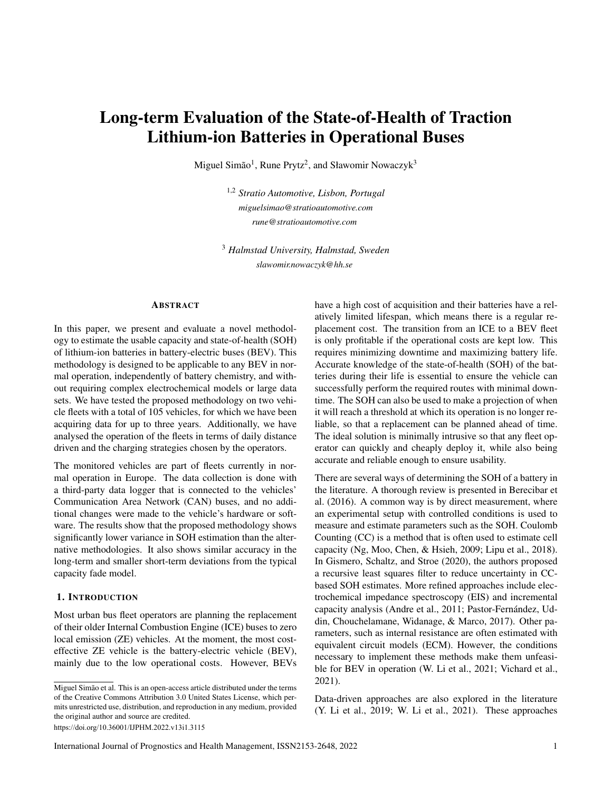# Long-term Evaluation of the State-of-Health of Traction Lithium-ion Batteries in Operational Buses

Miguel Simão<sup>1</sup>, Rune Prytz<sup>2</sup>, and Sławomir Nowaczyk<sup>3</sup>

1,2 *Stratio Automotive, Lisbon, Portugal miguelsimao@stratioautomotive.com rune@stratioautomotive.com*

<sup>3</sup> *Halmstad University, Halmstad, Sweden slawomir.nowaczyk@hh.se*

## ABSTRACT

In this paper, we present and evaluate a novel methodology to estimate the usable capacity and state-of-health (SOH) of lithium-ion batteries in battery-electric buses (BEV). This methodology is designed to be applicable to any BEV in normal operation, independently of battery chemistry, and without requiring complex electrochemical models or large data sets. We have tested the proposed methodology on two vehicle fleets with a total of 105 vehicles, for which we have been acquiring data for up to three years. Additionally, we have analysed the operation of the fleets in terms of daily distance driven and the charging strategies chosen by the operators.

The monitored vehicles are part of fleets currently in normal operation in Europe. The data collection is done with a third-party data logger that is connected to the vehicles' Communication Area Network (CAN) buses, and no additional changes were made to the vehicle's hardware or software. The results show that the proposed methodology shows significantly lower variance in SOH estimation than the alternative methodologies. It also shows similar accuracy in the long-term and smaller short-term deviations from the typical capacity fade model.

# 1. INTRODUCTION

Most urban bus fleet operators are planning the replacement of their older Internal Combustion Engine (ICE) buses to zero local emission (ZE) vehicles. At the moment, the most costeffective ZE vehicle is the battery-electric vehicle (BEV), mainly due to the low operational costs. However, BEVs

https://doi.org/10.36001/IJPHM.2022.v13i1.3115

have a high cost of acquisition and their batteries have a relatively limited lifespan, which means there is a regular replacement cost. The transition from an ICE to a BEV fleet is only profitable if the operational costs are kept low. This requires minimizing downtime and maximizing battery life. Accurate knowledge of the state-of-health (SOH) of the batteries during their life is essential to ensure the vehicle can successfully perform the required routes with minimal downtime. The SOH can also be used to make a projection of when it will reach a threshold at which its operation is no longer reliable, so that a replacement can be planned ahead of time. The ideal solution is minimally intrusive so that any fleet operator can quickly and cheaply deploy it, while also being accurate and reliable enough to ensure usability.

There are several ways of determining the SOH of a battery in the literature. A thorough review is presented in Berecibar et al. (2016). A common way is by direct measurement, where an experimental setup with controlled conditions is used to measure and estimate parameters such as the SOH. Coulomb Counting (CC) is a method that is often used to estimate cell capacity (Ng, Moo, Chen, & Hsieh, 2009; Lipu et al., 2018). In Gismero, Schaltz, and Stroe (2020), the authors proposed a recursive least squares filter to reduce uncertainty in CCbased SOH estimates. More refined approaches include electrochemical impedance spectroscopy (EIS) and incremental capacity analysis (Andre et al., 2011; Pastor-Fernández, Uddin, Chouchelamane, Widanage, & Marco, 2017). Other parameters, such as internal resistance are often estimated with equivalent circuit models (ECM). However, the conditions necessary to implement these methods make them unfeasible for BEV in operation (W. Li et al., 2021; Vichard et al., 2021).

Data-driven approaches are also explored in the literature (Y. Li et al., 2019; W. Li et al., 2021). These approaches

Miguel Simão et al. This is an open-access article distributed under the terms of the Creative Commons Attribution 3.0 United States License, which permits unrestricted use, distribution, and reproduction in any medium, provided the original author and source are credited.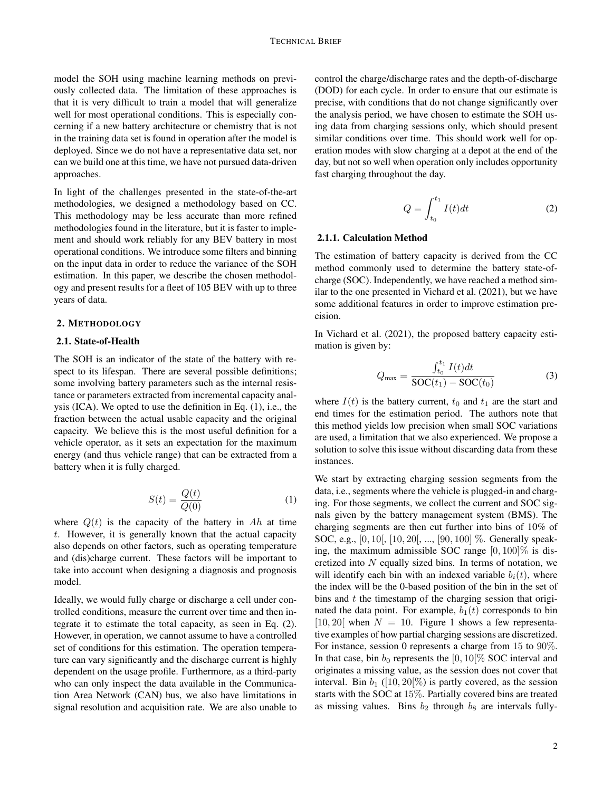model the SOH using machine learning methods on previously collected data. The limitation of these approaches is that it is very difficult to train a model that will generalize well for most operational conditions. This is especially concerning if a new battery architecture or chemistry that is not in the training data set is found in operation after the model is deployed. Since we do not have a representative data set, nor can we build one at this time, we have not pursued data-driven approaches.

In light of the challenges presented in the state-of-the-art methodologies, we designed a methodology based on CC. This methodology may be less accurate than more refined methodologies found in the literature, but it is faster to implement and should work reliably for any BEV battery in most operational conditions. We introduce some filters and binning on the input data in order to reduce the variance of the SOH estimation. In this paper, we describe the chosen methodology and present results for a fleet of 105 BEV with up to three years of data.

#### 2. METHODOLOGY

## 2.1. State-of-Health

The SOH is an indicator of the state of the battery with respect to its lifespan. There are several possible definitions; some involving battery parameters such as the internal resistance or parameters extracted from incremental capacity analysis (ICA). We opted to use the definition in Eq. (1), i.e., the fraction between the actual usable capacity and the original capacity. We believe this is the most useful definition for a vehicle operator, as it sets an expectation for the maximum energy (and thus vehicle range) that can be extracted from a battery when it is fully charged.

$$
S(t) = \frac{Q(t)}{Q(0)}\tag{1}
$$

where  $Q(t)$  is the capacity of the battery in  $Ah$  at time *t*. However, it is generally known that the actual capacity also depends on other factors, such as operating temperature and (dis)charge current. These factors will be important to take into account when designing a diagnosis and prognosis model.

Ideally, we would fully charge or discharge a cell under controlled conditions, measure the current over time and then integrate it to estimate the total capacity, as seen in Eq. (2). However, in operation, we cannot assume to have a controlled set of conditions for this estimation. The operation temperature can vary significantly and the discharge current is highly dependent on the usage profile. Furthermore, as a third-party who can only inspect the data available in the Communication Area Network (CAN) bus, we also have limitations in signal resolution and acquisition rate. We are also unable to control the charge/discharge rates and the depth-of-discharge (DOD) for each cycle. In order to ensure that our estimate is precise, with conditions that do not change significantly over the analysis period, we have chosen to estimate the SOH using data from charging sessions only, which should present similar conditions over time. This should work well for operation modes with slow charging at a depot at the end of the day, but not so well when operation only includes opportunity fast charging throughout the day.

$$
Q = \int_{t_0}^{t_1} I(t)dt
$$
 (2)

#### 2.1.1. Calculation Method

The estimation of battery capacity is derived from the CC method commonly used to determine the battery state-ofcharge (SOC). Independently, we have reached a method similar to the one presented in Vichard et al. (2021), but we have some additional features in order to improve estimation precision.

In Vichard et al. (2021), the proposed battery capacity estimation is given by:

$$
Q_{\text{max}} = \frac{\int_{t_0}^{t_1} I(t)dt}{\text{SOC}(t_1) - \text{SOC}(t_0)}
$$
(3)

where  $I(t)$  is the battery current,  $t_0$  and  $t_1$  are the start and end times for the estimation period. The authors note that this method yields low precision when small SOC variations are used, a limitation that we also experienced. We propose a solution to solve this issue without discarding data from these instances.

We start by extracting charging session segments from the data, i.e., segments where the vehicle is plugged-in and charging. For those segments, we collect the current and SOC signals given by the battery management system (BMS). The charging segments are then cut further into bins of 10% of SOC, e.g., [0*,* 10[, [10*,* 20[, ..., [90*,* 100] %. Generally speaking, the maximum admissible SOC range [0*,* 100]% is discretized into *N* equally sized bins. In terms of notation, we will identify each bin with an indexed variable  $b_i(t)$ , where the index will be the 0-based position of the bin in the set of bins and *t* the timestamp of the charging session that originated the data point. For example,  $b_1(t)$  corresponds to bin  $[10, 20]$  when  $N = 10$ . Figure 1 shows a few representative examples of how partial charging sessions are discretized. For instance, session 0 represents a charge from 15 to 90%. In that case, bin  $b_0$  represents the  $[0, 10[\% \text{ SOC} ]$  interval and originates a missing value, as the session does not cover that interval. Bin  $b_1$  ([10, 20[%) is partly covered, as the session starts with the SOC at 15%. Partially covered bins are treated as missing values. Bins  $b_2$  through  $b_8$  are intervals fully-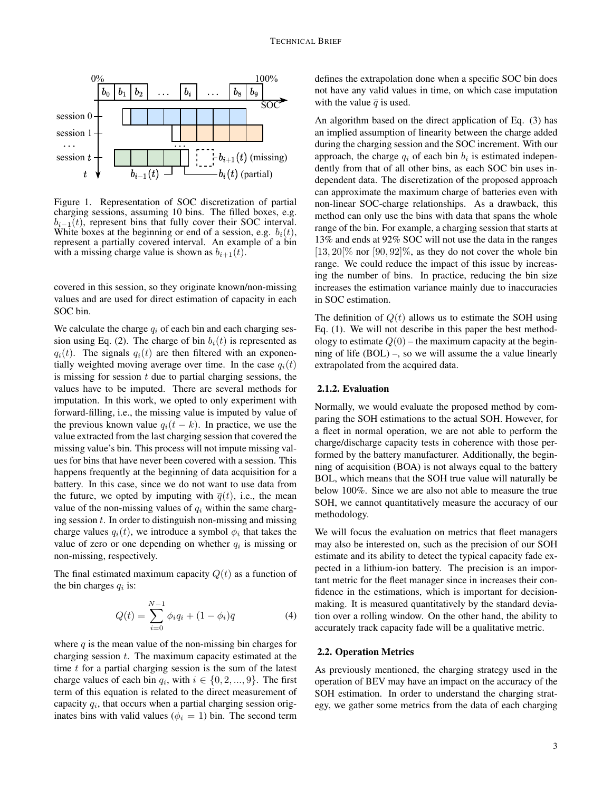

Figure 1. Representation of SOC discretization of partial charging sessions, assuming 10 bins. The filled boxes, e.g.  $b_{i-1}(t)$ , represent bins that fully cover their SOC interval. White boxes at the beginning or end of a session, e.g.  $b_i(t)$ , represent a partially covered interval. An example of a bin with a missing charge value is shown as  $b_{i+1}(t)$ .

covered in this session, so they originate known/non-missing values and are used for direct estimation of capacity in each SOC bin.

We calculate the charge  $q_i$  of each bin and each charging session using Eq. (2). The charge of bin  $b_i(t)$  is represented as  $q_i(t)$ . The signals  $q_i(t)$  are then filtered with an exponentially weighted moving average over time. In the case  $q_i(t)$ is missing for session *t* due to partial charging sessions, the values have to be imputed. There are several methods for imputation. In this work, we opted to only experiment with forward-filling, i.e., the missing value is imputed by value of the previous known value  $q_i(t - k)$ . In practice, we use the value extracted from the last charging session that covered the missing value's bin. This process will not impute missing values for bins that have never been covered with a session. This happens frequently at the beginning of data acquisition for a battery. In this case, since we do not want to use data from the future, we opted by imputing with  $\overline{q}(t)$ , i.e., the mean value of the non-missing values of *q<sup>i</sup>* within the same charging session *t*. In order to distinguish non-missing and missing charge values  $q_i(t)$ , we introduce a symbol  $\phi_i$  that takes the value of zero or one depending on whether  $q_i$  is missing or non-missing, respectively.

The final estimated maximum capacity  $Q(t)$  as a function of the bin charges *q<sup>i</sup>* is:

$$
Q(t) = \sum_{i=0}^{N-1} \phi_i q_i + (1 - \phi_i) \overline{q}
$$
 (4)

where  $\bar{q}$  is the mean value of the non-missing bin charges for charging session *t*. The maximum capacity estimated at the time *t* for a partial charging session is the sum of the latest charge values of each bin  $q_i$ , with  $i \in \{0, 2, ..., 9\}$ . The first term of this equation is related to the direct measurement of capacity  $q_i$ , that occurs when a partial charging session originates bins with valid values ( $\phi_i = 1$ ) bin. The second term defines the extrapolation done when a specific SOC bin does not have any valid values in time, on which case imputation with the value  $\overline{q}$  is used.

An algorithm based on the direct application of Eq. (3) has an implied assumption of linearity between the charge added during the charging session and the SOC increment. With our approach, the charge  $q_i$  of each bin  $b_i$  is estimated independently from that of all other bins, as each SOC bin uses independent data. The discretization of the proposed approach can approximate the maximum charge of batteries even with non-linear SOC-charge relationships. As a drawback, this method can only use the bins with data that spans the whole range of the bin. For example, a charging session that starts at 13% and ends at 92% SOC will not use the data in the ranges  $[13, 20]$ % nor  $[90, 92]$ %, as they do not cover the whole bin range. We could reduce the impact of this issue by increasing the number of bins. In practice, reducing the bin size increases the estimation variance mainly due to inaccuracies in SOC estimation.

The definition of  $Q(t)$  allows us to estimate the SOH using Eq. (1). We will not describe in this paper the best methodology to estimate  $Q(0)$  – the maximum capacity at the beginning of life (BOL) –, so we will assume the a value linearly extrapolated from the acquired data.

## 2.1.2. Evaluation

Normally, we would evaluate the proposed method by comparing the SOH estimations to the actual SOH. However, for a fleet in normal operation, we are not able to perform the charge/discharge capacity tests in coherence with those performed by the battery manufacturer. Additionally, the beginning of acquisition (BOA) is not always equal to the battery BOL, which means that the SOH true value will naturally be below 100%. Since we are also not able to measure the true SOH, we cannot quantitatively measure the accuracy of our methodology.

We will focus the evaluation on metrics that fleet managers may also be interested on, such as the precision of our SOH estimate and its ability to detect the typical capacity fade expected in a lithium-ion battery. The precision is an important metric for the fleet manager since in increases their confidence in the estimations, which is important for decisionmaking. It is measured quantitatively by the standard deviation over a rolling window. On the other hand, the ability to accurately track capacity fade will be a qualitative metric.

## 2.2. Operation Metrics

As previously mentioned, the charging strategy used in the operation of BEV may have an impact on the accuracy of the SOH estimation. In order to understand the charging strategy, we gather some metrics from the data of each charging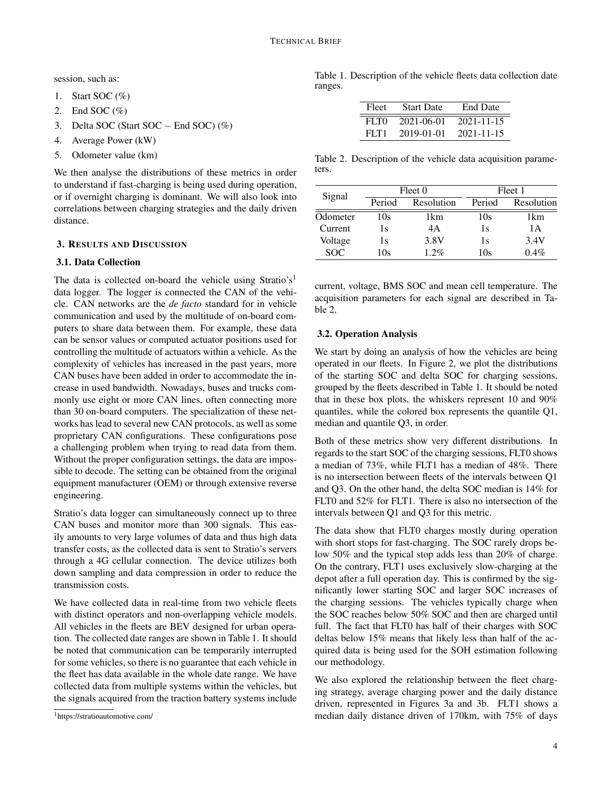session, such as:

- 1. Start SOC  $(\%)$
- 2. End SOC  $(\% )$
- 3. Delta SOC (Start SOC  $-$  End SOC) (%)
- 4. Average Power (kW)
- 5. Odometer value (km)

We then analyse the distributions of these metrics in order to understand if fast-charging is being used during operation, or if overnight charging is dominant. We will also look into correlations between charging strategies and the daily driven distance.

# 3. RESULTS AND DISCUSSION

# 3.1. Data Collection

The data is collected on-board the vehicle using Stratio's<sup>1</sup> data logger. The logger is connected the CAN of the vehicle. CAN networks are the *de facto* standard for in vehicle communication and used by the multitude of on-board computers to share data between them. For example, these data can be sensor values or computed actuator positions used for controlling the multitude of actuators within a vehicle. As the complexity of vehicles has increased in the past years, more CAN buses have been added in order to accommodate the increase in used bandwidth. Nowadays, buses and trucks commonly use eight or more CAN lines, often connecting more than 30 on-board computers. The specialization of these networks has lead to several new CAN protocols, as well as some proprietary CAN configurations. These configurations pose a challenging problem when trying to read data from them. Without the proper configuration settings, the data are impossible to decode. The setting can be obtained from the original equipment manufacturer (OEM) or through extensive reverse engineering.

Stratio's data logger can simultaneously connect up to three CAN buses and monitor more than 300 signals. This easily amounts to very large volumes of data and thus high data transfer costs, as the collected data is sent to Stratio's servers through a 4G cellular connection. The device utilizes both down sampling and data compression in order to reduce the transmission costs.

We have collected data in real-time from two vehicle fleets with distinct operators and non-overlapping vehicle models. All vehicles in the fleets are BEV designed for urban operation. The collected date ranges are shown in Table 1. It should be noted that communication can be temporarily interrupted for some vehicles, so there is no guarantee that each vehicle in the fleet has data available in the whole date range. We have collected data from multiple systems within the vehicles, but the signals acquired from the traction battery systems include Table 1. Description of the vehicle fleets data collection date ranges.

| Fleet | <b>Start Date</b> | <b>End Date</b>  |
|-------|-------------------|------------------|
| FI TO | 2021-06-01        | $2021 - 11 - 15$ |
| FLT1  | 2019-01-01        | $2021 - 11 - 15$ |

Table 2. Description of the vehicle data acquisition parameters.

| Signal   | Fleet 0 |            | Fleet 1 |            |
|----------|---------|------------|---------|------------|
|          | Period  | Resolution | Period  | Resolution |
| Odometer | 10s     | 1km        | 10s     | 1km        |
| Current  | 1s      | 4A         | 1s      | 1 A        |
| Voltage  | 1s      | 3.8V       | 1s      | 3.4V       |
| SOC.     | 10s     | $1.2\%$    | 10s     | 0.4%       |

current, voltage, BMS SOC and mean cell temperature. The acquisition parameters for each signal are described in Table 2.

## 3.2. Operation Analysis

We start by doing an analysis of how the vehicles are being operated in our fleets. In Figure 2, we plot the distributions of the starting SOC and delta SOC for charging sessions, grouped by the fleets described in Table 1. It should be noted that in these box plots, the whiskers represent 10 and 90% quantiles, while the colored box represents the quantile Q1, median and quantile Q3, in order.

Both of these metrics show very different distributions. In regards to the start SOC of the charging sessions, FLT0 shows a median of 73%, while FLT1 has a median of 48%. There is no intersection between fleets of the intervals between Q1 and Q3. On the other hand, the delta SOC median is 14% for FLT0 and 52% for FLT1. There is also no intersection of the intervals between Q1 and Q3 for this metric.

The data show that FLT0 charges mostly during operation with short stops for fast-charging. The SOC rarely drops below 50% and the typical stop adds less than 20% of charge. On the contrary, FLT1 uses exclusively slow-charging at the depot after a full operation day. This is confirmed by the significantly lower starting SOC and larger SOC increases of the charging sessions. The vehicles typically charge when the SOC reaches below 50% SOC and then are charged until full. The fact that FLT0 has half of their charges with SOC deltas below 15% means that likely less than half of the acquired data is being used for the SOH estimation following our methodology.

We also explored the relationship between the fleet charging strategy, average charging power and the daily distance driven, represented in Figures 3a and 3b. FLT1 shows a median daily distance driven of 170km, with 75% of days

<sup>1</sup>https://stratioautomotive.com/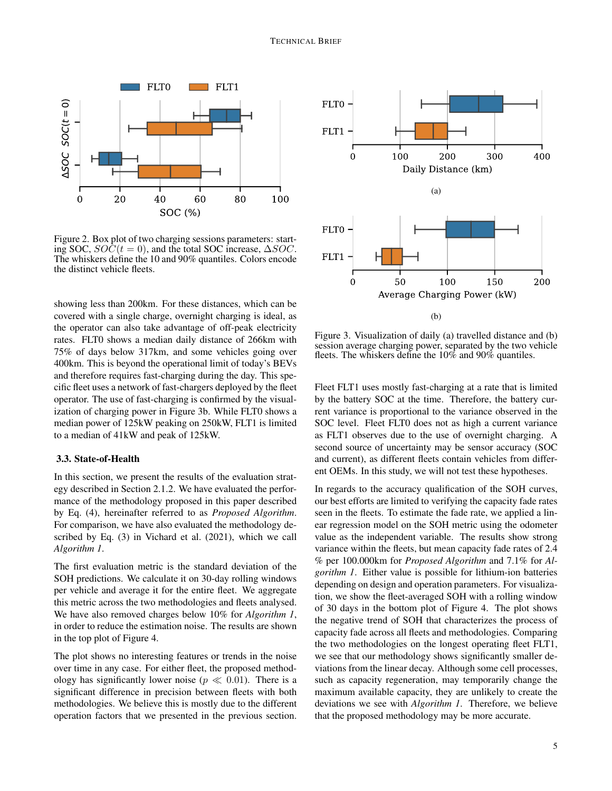

Figure 2. Box plot of two charging sessions parameters: starting SOC,  $SO\tilde{C}(t=0)$ , and the total SOC increase,  $\Delta SOC$ . The whiskers define the 10 and 90% quantiles. Colors encode the distinct vehicle fleets.

showing less than 200km. For these distances, which can be covered with a single charge, overnight charging is ideal, as the operator can also take advantage of off-peak electricity rates. FLT0 shows a median daily distance of 266km with 75% of days below 317km, and some vehicles going over 400km. This is beyond the operational limit of today's BEVs and therefore requires fast-charging during the day. This specific fleet uses a network of fast-chargers deployed by the fleet operator. The use of fast-charging is confirmed by the visualization of charging power in Figure 3b. While FLT0 shows a median power of 125kW peaking on 250kW, FLT1 is limited to a median of 41kW and peak of 125kW.

## 3.3. State-of-Health

In this section, we present the results of the evaluation strategy described in Section 2.1.2. We have evaluated the performance of the methodology proposed in this paper described by Eq. (4), hereinafter referred to as *Proposed Algorithm*. For comparison, we have also evaluated the methodology described by Eq. (3) in Vichard et al. (2021), which we call *Algorithm 1*.

The first evaluation metric is the standard deviation of the SOH predictions. We calculate it on 30-day rolling windows per vehicle and average it for the entire fleet. We aggregate this metric across the two methodologies and fleets analysed. We have also removed charges below 10% for *Algorithm 1*, in order to reduce the estimation noise. The results are shown in the top plot of Figure 4.

The plot shows no interesting features or trends in the noise over time in any case. For either fleet, the proposed methodology has significantly lower noise ( $p \ll 0.01$ ). There is a significant difference in precision between fleets with both methodologies. We believe this is mostly due to the different operation factors that we presented in the previous section.



Figure 3. Visualization of daily (a) travelled distance and (b) session average charging power, separated by the two vehicle fleets. The whiskers define the 10% and 90% quantiles.

Fleet FLT1 uses mostly fast-charging at a rate that is limited by the battery SOC at the time. Therefore, the battery current variance is proportional to the variance observed in the SOC level. Fleet FLT0 does not as high a current variance as FLT1 observes due to the use of overnight charging. A second source of uncertainty may be sensor accuracy (SOC and current), as different fleets contain vehicles from different OEMs. In this study, we will not test these hypotheses.

In regards to the accuracy qualification of the SOH curves, our best efforts are limited to verifying the capacity fade rates seen in the fleets. To estimate the fade rate, we applied a linear regression model on the SOH metric using the odometer value as the independent variable. The results show strong variance within the fleets, but mean capacity fade rates of 2.4 % per 100.000km for *Proposed Algorithm* and 7.1% for *Algorithm 1*. Either value is possible for lithium-ion batteries depending on design and operation parameters. For visualization, we show the fleet-averaged SOH with a rolling window of 30 days in the bottom plot of Figure 4. The plot shows the negative trend of SOH that characterizes the process of capacity fade across all fleets and methodologies. Comparing the two methodologies on the longest operating fleet FLT1, we see that our methodology shows significantly smaller deviations from the linear decay. Although some cell processes, such as capacity regeneration, may temporarily change the maximum available capacity, they are unlikely to create the deviations we see with *Algorithm 1*. Therefore, we believe that the proposed methodology may be more accurate.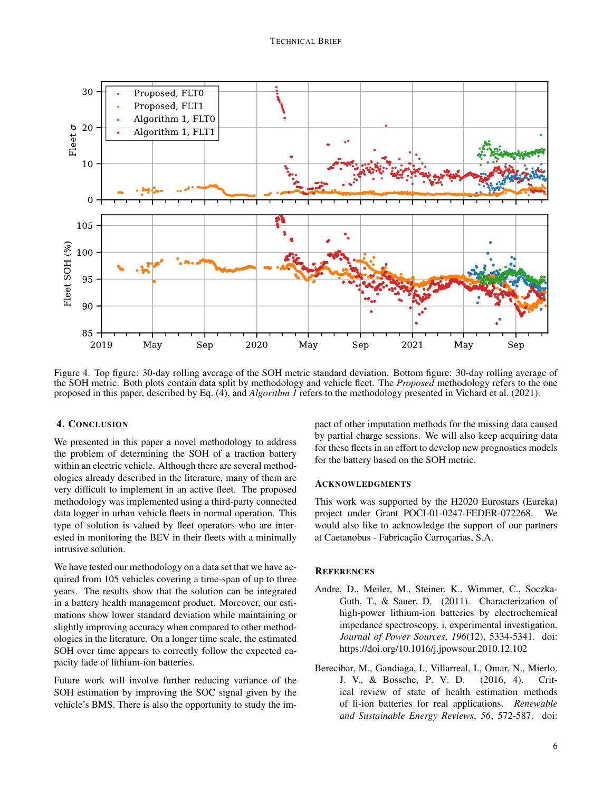

Figure 4. Top figure: 30-day rolling average of the SOH metric standard deviation. Bottom figure: 30-day rolling average of the SOH metric. Both plots contain data split by methodology and vehicle fleet. The *Proposed* methodology refers to the one proposed in this paper, described by Eq. (4), and *Algorithm 1* refers to the methodology presented in Vichard et al. (2021).

# 4. CONCLUSION

We presented in this paper a novel methodology to address the problem of determining the SOH of a traction battery within an electric vehicle. Although there are several methodologies already described in the literature, many of them are very difficult to implement in an active fleet. The proposed methodology was implemented using a third-party connected data logger in urban vehicle fleets in normal operation. This type of solution is valued by fleet operators who are interested in monitoring the BEV in their fleets with a minimally intrusive solution.

We have tested our methodology on a data set that we have acquired from 105 vehicles covering a time-span of up to three years. The results show that the solution can be integrated in a battery health management product. Moreover, our estimations show lower standard deviation while maintaining or slightly improving accuracy when compared to other methodologies in the literature. On a longer time scale, the estimated SOH over time appears to correctly follow the expected capacity fade of lithium-ion batteries.

Future work will involve further reducing variance of the SOH estimation by improving the SOC signal given by the vehicle's BMS. There is also the opportunity to study the impact of other imputation methods for the missing data caused by partial charge sessions. We will also keep acquiring data for these fleets in an effort to develop new prognostics models for the battery based on the SOH metric.

## ACKNOWLEDGMENTS

This work was supported by the H2020 Eurostars (Eureka) project under Grant POCI-01-0247-FEDER-072268. We would also like to acknowledge the support of our partners at Caetanobus - Fabricação Carroçarias, S.A.

#### **REFERENCES**

- Andre, D., Meiler, M., Steiner, K., Wimmer, C., Soczka-Guth, T., & Sauer, D. (2011). Characterization of high-power lithium-ion batteries by electrochemical impedance spectroscopy. i. experimental investigation. *Journal of Power Sources*, *196*(12), 5334-5341. doi: https://doi.org/10.1016/j.jpowsour.2010.12.102
- Berecibar, M., Gandiaga, I., Villarreal, I., Omar, N., Mierlo, J. V., & Bossche, P. V. D. (2016, 4). Critical review of state of health estimation methods of li-ion batteries for real applications. *Renewable and Sustainable Energy Reviews*, *56*, 572-587. doi: